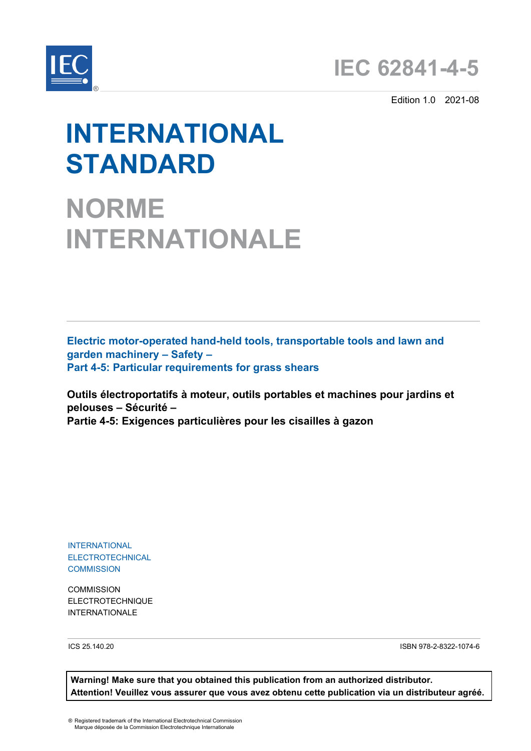



Edition 1.0 2021-08

# **INTERNATIONAL STANDARD**

**NORME INTERNATIONALE**

**Electric motor-operated hand-held tools, transportable tools and lawn and garden machinery – Safety – Part 4-5: Particular requirements for grass shears**

**Outils électroportatifs à moteur, outils portables et machines pour jardins et pelouses – Sécurité – Partie 4-5: Exigences particulières pour les cisailles à gazon**

INTERNATIONAL ELECTROTECHNICAL **COMMISSION** 

**COMMISSION** ELECTROTECHNIQUE INTERNATIONALE

ICS 25.140.20 ISBN 978-2-8322-1074-6

**Warning! Make sure that you obtained this publication from an authorized distributor. Attention! Veuillez vous assurer que vous avez obtenu cette publication via un distributeur agréé.**

® Registered trademark of the International Electrotechnical Commission Marque déposée de la Commission Electrotechnique Internationale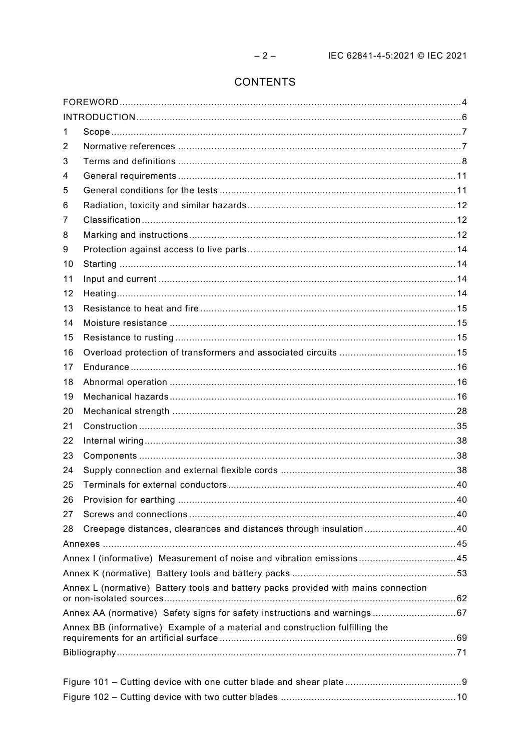# CONTENTS

| 1  |                                                                                    |  |
|----|------------------------------------------------------------------------------------|--|
| 2  |                                                                                    |  |
| 3  |                                                                                    |  |
| 4  |                                                                                    |  |
| 5  |                                                                                    |  |
| 6  |                                                                                    |  |
| 7  |                                                                                    |  |
| 8  |                                                                                    |  |
| 9  |                                                                                    |  |
| 10 |                                                                                    |  |
| 11 |                                                                                    |  |
| 12 |                                                                                    |  |
| 13 |                                                                                    |  |
| 14 |                                                                                    |  |
| 15 |                                                                                    |  |
| 16 |                                                                                    |  |
| 17 |                                                                                    |  |
| 18 |                                                                                    |  |
| 19 |                                                                                    |  |
| 20 |                                                                                    |  |
| 21 |                                                                                    |  |
| 22 |                                                                                    |  |
| 23 |                                                                                    |  |
| 24 |                                                                                    |  |
| 25 |                                                                                    |  |
| 26 |                                                                                    |  |
| 27 |                                                                                    |  |
| 28 | Creepage distances, clearances and distances through insulation40                  |  |
|    |                                                                                    |  |
|    | Annex I (informative) Measurement of noise and vibration emissions45               |  |
|    |                                                                                    |  |
|    | Annex L (normative) Battery tools and battery packs provided with mains connection |  |
|    |                                                                                    |  |
|    | Annex BB (informative) Example of a material and construction fulfilling the       |  |
|    |                                                                                    |  |
|    |                                                                                    |  |
|    |                                                                                    |  |
|    |                                                                                    |  |
|    |                                                                                    |  |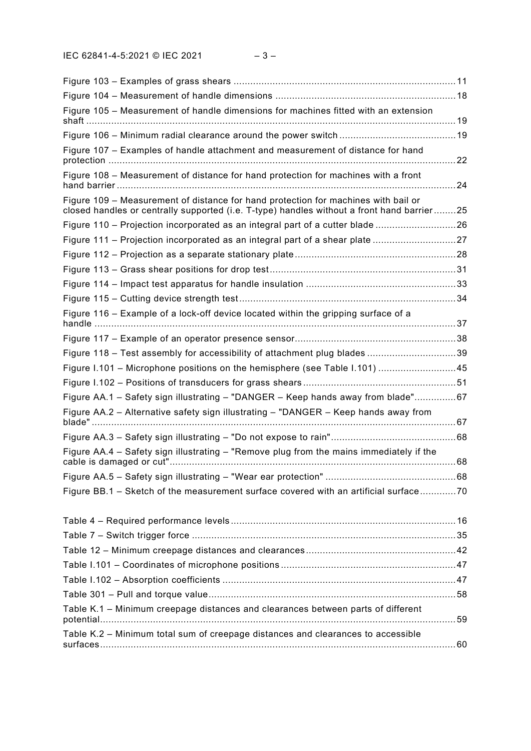| Figure 105 – Measurement of handle dimensions for machines fitted with an extension                                                                                              |    |
|----------------------------------------------------------------------------------------------------------------------------------------------------------------------------------|----|
|                                                                                                                                                                                  |    |
| Figure 107 - Examples of handle attachment and measurement of distance for hand                                                                                                  |    |
| Figure 108 - Measurement of distance for hand protection for machines with a front                                                                                               | 24 |
| Figure 109 - Measurement of distance for hand protection for machines with bail or<br>closed handles or centrally supported (i.e. T-type) handles without a front hand barrier25 |    |
| Figure 110 - Projection incorporated as an integral part of a cutter blade 26                                                                                                    |    |
| Figure 111 – Projection incorporated as an integral part of a shear plate 27                                                                                                     |    |
|                                                                                                                                                                                  |    |
|                                                                                                                                                                                  |    |
|                                                                                                                                                                                  |    |
|                                                                                                                                                                                  |    |
| Figure 116 - Example of a lock-off device located within the gripping surface of a                                                                                               |    |
|                                                                                                                                                                                  |    |
| Figure 118 - Test assembly for accessibility of attachment plug blades 39                                                                                                        |    |
| Figure 1.101 – Microphone positions on the hemisphere (see Table 1.101) 45                                                                                                       |    |
|                                                                                                                                                                                  |    |
| Figure AA.1 - Safety sign illustrating - "DANGER - Keep hands away from blade"67                                                                                                 |    |
| Figure AA.2 - Alternative safety sign illustrating - "DANGER - Keep hands away from                                                                                              |    |
|                                                                                                                                                                                  |    |
| Figure AA.4 - Safety sign illustrating - "Remove plug from the mains immediately if the                                                                                          |    |
|                                                                                                                                                                                  |    |
| Figure BB.1 - Sketch of the measurement surface covered with an artificial surface70                                                                                             |    |
|                                                                                                                                                                                  |    |
|                                                                                                                                                                                  |    |
|                                                                                                                                                                                  |    |
|                                                                                                                                                                                  |    |
|                                                                                                                                                                                  |    |
|                                                                                                                                                                                  |    |
| Table K.1 - Minimum creepage distances and clearances between parts of different                                                                                                 |    |
| Table K.2 - Minimum total sum of creepage distances and clearances to accessible                                                                                                 |    |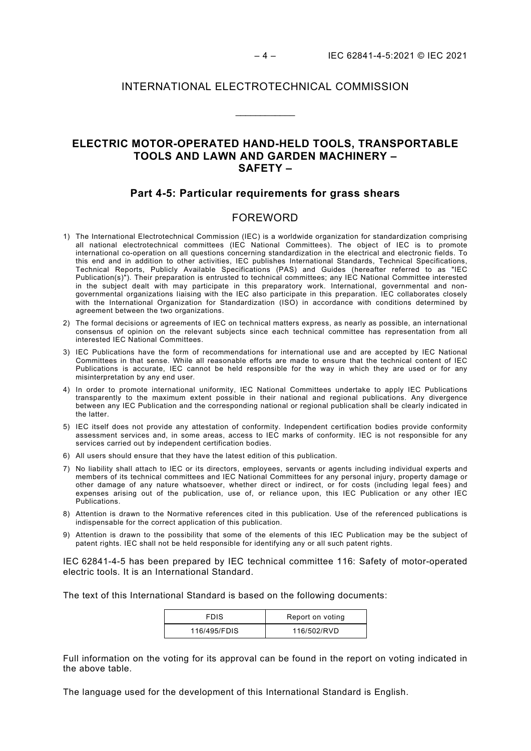## INTERNATIONAL ELECTROTECHNICAL COMMISSION

\_\_\_\_\_\_\_\_\_\_\_\_

# **ELECTRIC MOTOR-OPERATED HAND-HELD TOOLS, TRANSPORTABLE TOOLS AND LAWN AND GARDEN MACHINERY – SAFETY –**

## **Part 4-5: Particular requirements for grass shears**

# FOREWORD

- <span id="page-3-0"></span>1) The International Electrotechnical Commission (IEC) is a worldwide organization for standardization comprising all national electrotechnical committees (IEC National Committees). The object of IEC is to promote international co-operation on all questions concerning standardization in the electrical and electronic fields. To this end and in addition to other activities, IEC publishes International Standards, Technical Specifications, Technical Reports, Publicly Available Specifications (PAS) and Guides (hereafter referred to as "IEC Publication(s)"). Their preparation is entrusted to technical committees; any IEC National Committee interested in the subject dealt with may participate in this preparatory work. International, governmental and nongovernmental organizations liaising with the IEC also participate in this preparation. IEC collaborates closely with the International Organization for Standardization (ISO) in accordance with conditions determined by agreement between the two organizations.
- 2) The formal decisions or agreements of IEC on technical matters express, as nearly as possible, an international consensus of opinion on the relevant subjects since each technical committee has representation from all interested IEC National Committees.
- 3) IEC Publications have the form of recommendations for international use and are accepted by IEC National Committees in that sense. While all reasonable efforts are made to ensure that the technical content of IEC Publications is accurate, IEC cannot be held responsible for the way in which they are used or for any misinterpretation by any end user.
- 4) In order to promote international uniformity, IEC National Committees undertake to apply IEC Publications transparently to the maximum extent possible in their national and regional publications. Any divergence between any IEC Publication and the corresponding national or regional publication shall be clearly indicated in the latter.
- 5) IEC itself does not provide any attestation of conformity. Independent certification bodies provide conformity assessment services and, in some areas, access to IEC marks of conformity. IEC is not responsible for any services carried out by independent certification bodies.
- 6) All users should ensure that they have the latest edition of this publication.
- 7) No liability shall attach to IEC or its directors, employees, servants or agents including individual experts and members of its technical committees and IEC National Committees for any personal injury, property damage or other damage of any nature whatsoever, whether direct or indirect, or for costs (including legal fees) and expenses arising out of the publication, use of, or reliance upon, this IEC Publication or any other IEC Publications.
- 8) Attention is drawn to the Normative references cited in this publication. Use of the referenced publications is indispensable for the correct application of this publication.
- 9) Attention is drawn to the possibility that some of the elements of this IEC Publication may be the subject of patent rights. IEC shall not be held responsible for identifying any or all such patent rights.

IEC 62841-4-5 has been prepared by IEC technical committee 116: Safety of motor-operated electric tools. It is an International Standard.

The text of this International Standard is based on the following documents:

| FDIS         | Report on voting |
|--------------|------------------|
| 116/495/FDIS | 116/502/RVD      |

Full information on the voting for its approval can be found in the report on voting indicated in the above table.

The language used for the development of this International Standard is English.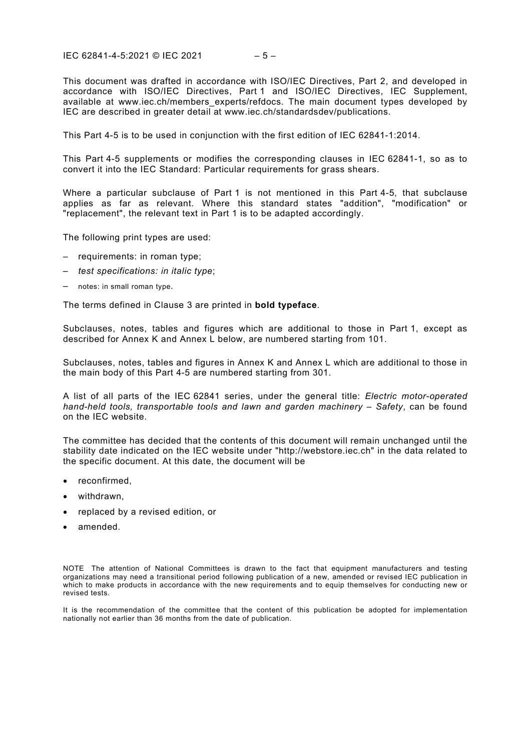IEC 62841-4-5:2021 © IEC 2021 – 5 –

This document was drafted in accordance with ISO/IEC Directives, Part 2, and developed in accordance with ISO/IEC Directives, Part 1 and ISO/IEC Directives, IEC Supplement, available at [www.iec.ch/members\\_experts/refdocs.](http://www.iec.ch/members_experts/refdocs) The main document types developed by IEC are described in greater detail at www.iec.ch/standardsdev/publications.

This Part 4-5 is to be used in conjunction with the first edition of IEC 62841-1:2014.

This Part 4-5 supplements or modifies the corresponding clauses in IEC 62841-1, so as to convert it into the IEC Standard: Particular requirements for grass shears.

Where a particular subclause of Part 1 is not mentioned in this Part 4-5, that subclause applies as far as relevant. Where this standard states "addition", "modification" or "replacement", the relevant text in Part 1 is to be adapted accordingly.

The following print types are used:

- requirements: in roman type;
- *test specifications: in italic type*;
- notes: in small roman type.

The terms defined in Clause 3 are printed in **bold typeface**.

Subclauses, notes, tables and figures which are additional to those in Part 1, except as described for Annex K and Annex L below, are numbered starting from 101.

Subclauses, notes, tables and figures in Annex K and Annex L which are additional to those in the main body of this Part 4-5 are numbered starting from 301.

A list of all parts of the IEC 62841 series, under the general title: *Electric motor-operated hand-held tools, transportable tools and lawn and garden machinery – Safety*, can be found on the IEC website.

The committee has decided that the contents of this document will remain unchanged until the stability date indicated on the IEC website under "http://webstore.iec.ch" in the data related to the specific document. At this date, the document will be

- reconfirmed,
- withdrawn,
- replaced by a revised edition, or
- amended.

NOTE The attention of National Committees is drawn to the fact that equipment manufacturers and testing organizations may need a transitional period following publication of a new, amended or revised IEC publication in which to make products in accordance with the new requirements and to equip themselves for conducting new or revised tests.

It is the recommendation of the committee that the content of this publication be adopted for implementation nationally not earlier than 36 months from the date of publication.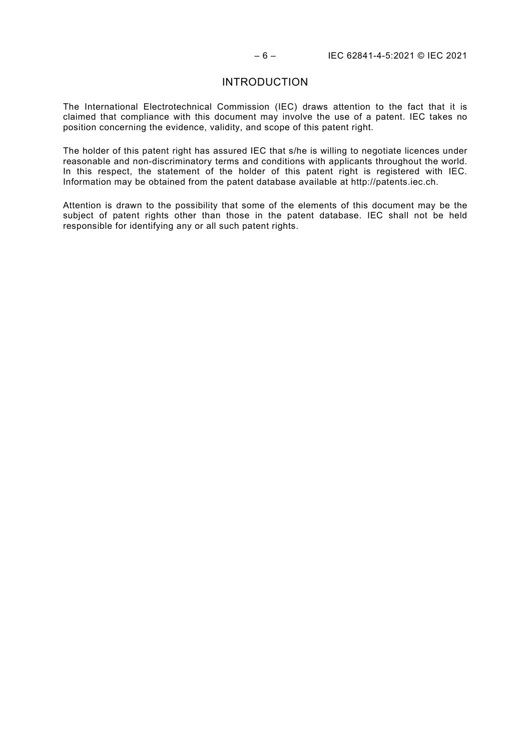## INTRODUCTION

<span id="page-5-0"></span>The International Electrotechnical Commission (IEC) draws attention to the fact that it is claimed that compliance with this document may involve the use of a patent. IEC takes no position concerning the evidence, validity, and scope of this patent right.

The holder of this patent right has assured IEC that s/he is willing to negotiate licences under reasonable and non-discriminatory terms and conditions with applicants throughout the world. In this respect, the statement of the holder of this patent right is registered with IEC. Information may be obtained from the patent database available at http://patents.iec.ch.

Attention is drawn to the possibility that some of the elements of this document may be the subject of patent rights other than those in the patent database. IEC shall not be held responsible for identifying any or all such patent rights.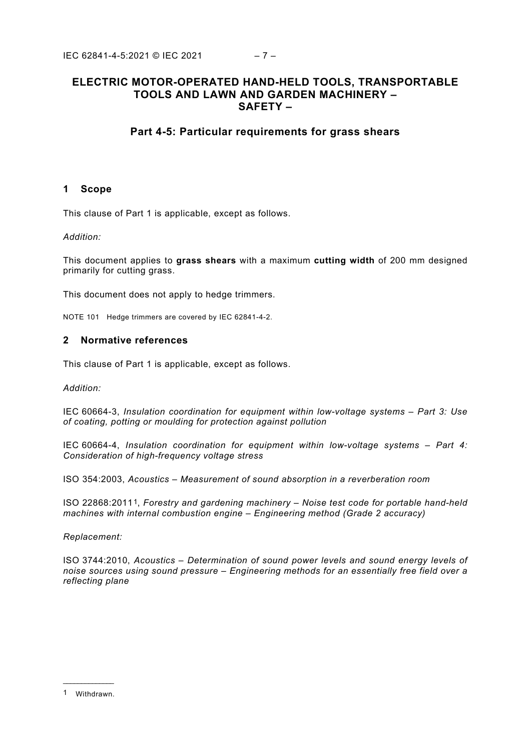# **ELECTRIC MOTOR-OPERATED HAND-HELD TOOLS, TRANSPORTABLE TOOLS AND LAWN AND GARDEN MACHINERY – SAFETY –**

# **Part 4-5: Particular requirements for grass shears**

## <span id="page-6-0"></span>**1 Scope**

This clause of Part 1 is applicable, except as follows.

### *Addition:*

This document applies to **grass shears** with a maximum **cutting width** of 200 mm designed primarily for cutting grass.

This document does not apply to hedge trimmers.

NOTE 101 Hedge trimmers are covered by IEC 62841-4-2.

## <span id="page-6-1"></span>**2 Normative references**

This clause of Part 1 is applicable, except as follows.

*Addition:*

IEC 60664-3, *Insulation coordination for equipment within low-voltage systems – Part 3: Use of coating, potting or moulding for protection against pollution* 

IEC 60664-4, *Insulation coordination for equipment within low-voltage systems – Part 4: Consideration of high-frequency voltage stress*

ISO 354:2003, *Acoustics – Measurement of sound absorption in a reverberation room*

ISO 22868:2011[1](#page-6-2), *Forestry and gardening machinery – Noise test code for portable hand-held machines with internal combustion engine – Engineering method (Grade 2 accuracy)*

#### *Replacement:*

ISO 3744:2010, *Acoustics – Determination of sound power levels and sound energy levels of noise sources using sound pressure – Engineering methods for an essentially free field over a reflecting plane*

<span id="page-6-2"></span>\_\_\_\_\_\_\_\_\_\_\_\_\_\_ 1 Withdrawn.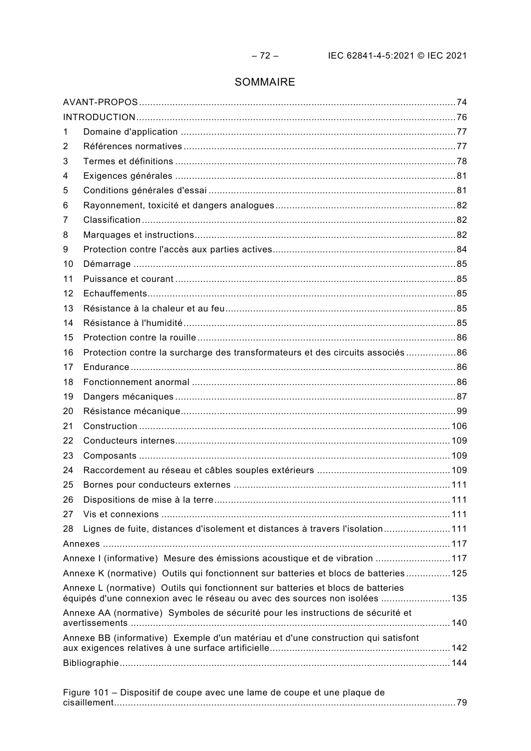# SOMMAIRE

| 1                                                                                 |                                                                                                                                                                 |  |  |
|-----------------------------------------------------------------------------------|-----------------------------------------------------------------------------------------------------------------------------------------------------------------|--|--|
| 2                                                                                 |                                                                                                                                                                 |  |  |
| 3                                                                                 |                                                                                                                                                                 |  |  |
| 4                                                                                 | Exigences générales …………………………………………………………………………………………81                                                                                                        |  |  |
| 5                                                                                 |                                                                                                                                                                 |  |  |
| 6                                                                                 |                                                                                                                                                                 |  |  |
| 7                                                                                 |                                                                                                                                                                 |  |  |
| 8                                                                                 |                                                                                                                                                                 |  |  |
| 9                                                                                 |                                                                                                                                                                 |  |  |
| 10                                                                                |                                                                                                                                                                 |  |  |
| 11                                                                                |                                                                                                                                                                 |  |  |
| 12                                                                                |                                                                                                                                                                 |  |  |
| 13                                                                                |                                                                                                                                                                 |  |  |
| 14                                                                                |                                                                                                                                                                 |  |  |
| 15                                                                                |                                                                                                                                                                 |  |  |
| 16                                                                                | Protection contre la surcharge des transformateurs et des circuits associés 86                                                                                  |  |  |
| 17                                                                                |                                                                                                                                                                 |  |  |
| 18                                                                                |                                                                                                                                                                 |  |  |
| 19                                                                                |                                                                                                                                                                 |  |  |
| 20                                                                                |                                                                                                                                                                 |  |  |
| 21                                                                                |                                                                                                                                                                 |  |  |
| 22                                                                                |                                                                                                                                                                 |  |  |
| 23                                                                                |                                                                                                                                                                 |  |  |
| 24                                                                                |                                                                                                                                                                 |  |  |
| 25                                                                                |                                                                                                                                                                 |  |  |
| 26                                                                                |                                                                                                                                                                 |  |  |
| 27                                                                                |                                                                                                                                                                 |  |  |
| 28                                                                                | Lignes de fuite, distances d'isolement et distances à travers l'isolation111                                                                                    |  |  |
|                                                                                   |                                                                                                                                                                 |  |  |
|                                                                                   | Annexe I (informative) Mesure des émissions acoustique et de vibration 117                                                                                      |  |  |
|                                                                                   | Annexe K (normative) Outils qui fonctionnent sur batteries et blocs de batteries125                                                                             |  |  |
|                                                                                   | Annexe L (normative) Outils qui fonctionnent sur batteries et blocs de batteries<br>équipés d'une connexion avec le réseau ou avec des sources non isolées  135 |  |  |
| Annexe AA (normative) Symboles de sécurité pour les instructions de sécurité et   |                                                                                                                                                                 |  |  |
| Annexe BB (informative) Exemple d'un matériau et d'une construction qui satisfont |                                                                                                                                                                 |  |  |
|                                                                                   |                                                                                                                                                                 |  |  |

| Figure 101 – Dispositif de coupe avec une lame de coupe et une plaque de |  |
|--------------------------------------------------------------------------|--|
|                                                                          |  |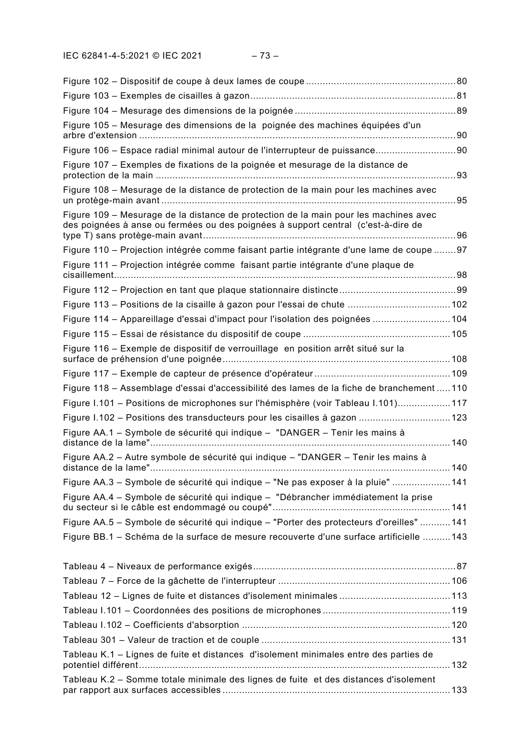| Figure 105 - Mesurage des dimensions de la poignée des machines équipées d'un                                                                                             |    |
|---------------------------------------------------------------------------------------------------------------------------------------------------------------------------|----|
| Figure 106 - Espace radial minimal autour de l'interrupteur de puissance90                                                                                                |    |
| Figure 107 – Exemples de fixations de la poignée et mesurage de la distance de                                                                                            | 93 |
| Figure 108 – Mesurage de la distance de protection de la main pour les machines avec                                                                                      | 95 |
| Figure 109 - Mesurage de la distance de protection de la main pour les machines avec<br>des poignées à anse ou fermées ou des poignées à support central (c'est-à-dire de |    |
| Figure 110 – Projection intégrée comme faisant partie intégrante d'une lame de coupe 97                                                                                   |    |
| Figure 111 – Projection intégrée comme faisant partie intégrante d'une plaque de                                                                                          |    |
|                                                                                                                                                                           |    |
| Figure 113 – Positions de la cisaille à gazon pour l'essai de chute  102                                                                                                  |    |
| Figure 114 - Appareillage d'essai d'impact pour l'isolation des poignées  104                                                                                             |    |
|                                                                                                                                                                           |    |
| Figure 116 - Exemple de dispositif de verrouillage en position arrêt situé sur la                                                                                         |    |
|                                                                                                                                                                           |    |
| Figure 118 – Assemblage d'essai d'accessibilité des lames de la fiche de branchement  110                                                                                 |    |
| Figure I.101 - Positions de microphones sur l'hémisphère (voir Tableau I.101)117                                                                                          |    |
| Figure 1.102 - Positions des transducteurs pour les cisailles à gazon  123                                                                                                |    |
| Figure AA.1 – Symbole de sécurité qui indique – "DANGER – Tenir les mains à                                                                                               |    |
| Figure AA.2 - Autre symbole de sécurité qui indique - "DANGER - Tenir les mains à                                                                                         |    |
| Figure AA.3 - Symbole de sécurité qui indique - "Ne pas exposer à la pluie"  141                                                                                          |    |
| Figure AA.4 - Symbole de sécurité qui indique - "Débrancher immédiatement la prise                                                                                        |    |
| Figure AA.5 - Symbole de sécurité qui indique - "Porter des protecteurs d'oreilles"  141                                                                                  |    |
| Figure BB.1 - Schéma de la surface de mesure recouverte d'une surface artificielle  143                                                                                   |    |
|                                                                                                                                                                           |    |
|                                                                                                                                                                           |    |
|                                                                                                                                                                           |    |
|                                                                                                                                                                           |    |
|                                                                                                                                                                           |    |
|                                                                                                                                                                           |    |
| Tableau K.1 - Lignes de fuite et distances d'isolement minimales entre des parties de                                                                                     |    |
| Tableau K.2 - Somme totale minimale des lignes de fuite et des distances d'isolement                                                                                      |    |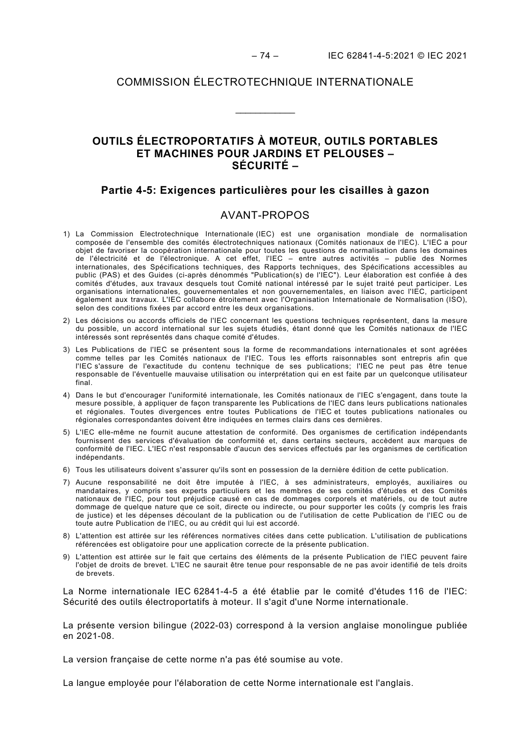# COMMISSION ÉLECTROTECHNIQUE INTERNATIONALE

\_\_\_\_\_\_\_\_\_\_\_\_

# **OUTILS ÉLECTROPORTATIFS À MOTEUR, OUTILS PORTABLES ET MACHINES POUR JARDINS ET PELOUSES – SÉCURITÉ –**

## **Partie 4-5: Exigences particulières pour les cisailles à gazon**

## AVANT-PROPOS

- <span id="page-9-0"></span>1) La Commission Electrotechnique Internationale (IEC) est une organisation mondiale de normalisation composée de l'ensemble des comités électrotechniques nationaux (Comités nationaux de l'IEC). L'IEC a pour objet de favoriser la coopération internationale pour toutes les questions de normalisation dans les domaines de l'électricité et de l'électronique. A cet effet, l'IEC – entre autres activités – publie des Normes internationales, des Spécifications techniques, des Rapports techniques, des Spécifications accessibles au public (PAS) et des Guides (ci-après dénommés "Publication(s) de l'IEC"). Leur élaboration est confiée à des comités d'études, aux travaux desquels tout Comité national intéressé par le sujet traité peut participer. Les organisations internationales, gouvernementales et non gouvernementales, en liaison avec l'IEC, participent également aux travaux. L'IEC collabore étroitement avec l'Organisation Internationale de Normalisation (ISO), selon des conditions fixées par accord entre les deux organisations.
- 2) Les décisions ou accords officiels de l'IEC concernant les questions techniques représentent, dans la mesure du possible, un accord international sur les sujets étudiés, étant donné que les Comités nationaux de l'IEC intéressés sont représentés dans chaque comité d'études.
- 3) Les Publications de l'IEC se présentent sous la forme de recommandations internationales et sont agréées comme telles par les Comités nationaux de l'IEC. Tous les efforts raisonnables sont entrepris afin que l'IEC s'assure de l'exactitude du contenu technique de ses publications; l'IEC ne peut pas être tenue responsable de l'éventuelle mauvaise utilisation ou interprétation qui en est faite par un quelconque utilisateur final.
- 4) Dans le but d'encourager l'uniformité internationale, les Comités nationaux de l'IEC s'engagent, dans toute la mesure possible, à appliquer de façon transparente les Publications de l'IEC dans leurs publications nationales et régionales. Toutes divergences entre toutes Publications de l'IEC et toutes publications nationales ou régionales correspondantes doivent être indiquées en termes clairs dans ces dernières.
- 5) L'IEC elle-même ne fournit aucune attestation de conformité. Des organismes de certification indépendants fournissent des services d'évaluation de conformité et, dans certains secteurs, accèdent aux marques de conformité de l'IEC. L'IEC n'est responsable d'aucun des services effectués par les organismes de certification indépendants.
- 6) Tous les utilisateurs doivent s'assurer qu'ils sont en possession de la dernière édition de cette publication.
- 7) Aucune responsabilité ne doit être imputée à l'IEC, à ses administrateurs, employés, auxiliaires ou mandataires, y compris ses experts particuliers et les membres de ses comités d'études et des Comités nationaux de l'IEC, pour tout préjudice causé en cas de dommages corporels et matériels, ou de tout autre dommage de quelque nature que ce soit, directe ou indirecte, ou pour supporter les coûts (y compris les frais de justice) et les dépenses découlant de la publication ou de l'utilisation de cette Publication de l'IEC ou de toute autre Publication de l'IEC, ou au crédit qui lui est accordé.
- 8) L'attention est attirée sur les références normatives citées dans cette publication. L'utilisation de publications référencées est obligatoire pour une application correcte de la présente publication.
- 9) L'attention est attirée sur le fait que certains des éléments de la présente Publication de l'IEC peuvent faire l'objet de droits de brevet. L'IEC ne saurait être tenue pour responsable de ne pas avoir identifié de tels droits de brevets.

La Norme internationale IEC 62841-4-5 a été établie par le comité d'études 116 de l'IEC: Sécurité des outils électroportatifs à moteur. Il s'agit d'une Norme internationale.

La présente version bilingue (2022-03) correspond à la version anglaise monolingue publiée en 2021-08.

La version française de cette norme n'a pas été soumise au vote.

La langue employée pour l'élaboration de cette Norme internationale est l'anglais.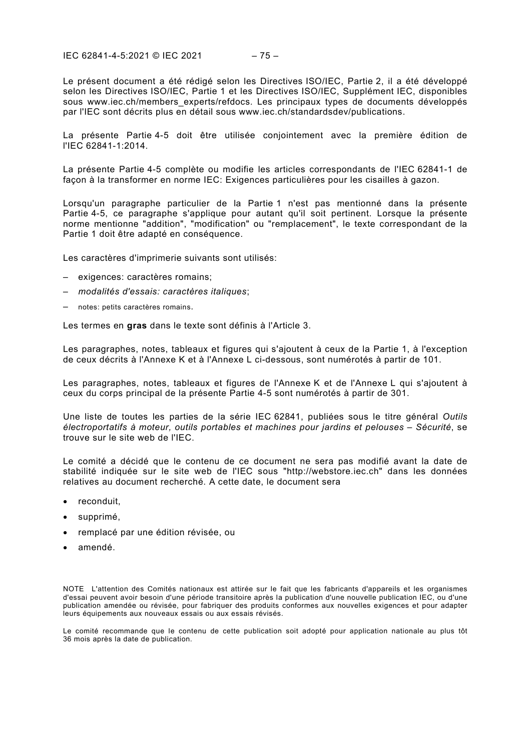IEC 62841-4-5:2021 © IEC 2021 – 75 –

Le présent document a été rédigé selon les Directives ISO/IEC, Partie 2, il a été développé selon les Directives ISO/IEC, Partie 1 et les Directives ISO/IEC, Supplément IEC, disponibles sous [www.iec.ch/members\\_experts/refdocs.](http://www.iec.ch/members_experts/refdocs) Les principaux types de documents développés par l'IEC sont décrits plus en détail sous www.iec.ch/standardsdev/publications.

La présente Partie 4-5 doit être utilisée conjointement avec la première édition de l'IEC 62841-1:2014.

La présente Partie 4-5 complète ou modifie les articles correspondants de l'IEC 62841-1 de façon à la transformer en norme IEC: Exigences particulières pour les cisailles à gazon.

Lorsqu'un paragraphe particulier de la Partie 1 n'est pas mentionné dans la présente Partie 4-5, ce paragraphe s'applique pour autant qu'il soit pertinent. Lorsque la présente norme mentionne "addition", "modification" ou "remplacement", le texte correspondant de la Partie 1 doit être adapté en conséquence.

Les caractères d'imprimerie suivants sont utilisés:

- exigences: caractères romains;
- *modalités d'essais: caractères italiques*;
- notes: petits caractères romains.

Les termes en **gras** dans le texte sont définis à l'Article 3.

Les paragraphes, notes, tableaux et figures qui s'ajoutent à ceux de la Partie 1, à l'exception de ceux décrits à l'Annexe K et à l'Annexe L ci-dessous, sont numérotés à partir de 101.

Les paragraphes, notes, tableaux et figures de l'Annexe K et de l'Annexe L qui s'ajoutent à ceux du corps principal de la présente Partie 4-5 sont numérotés à partir de 301.

Une liste de toutes les parties de la série IEC 62841, publiées sous le titre général *Outils électroportatifs à moteur, outils portables et machines pour jardins et pelouses – Sécurité*, se trouve sur le site web de l'IEC.

Le comité a décidé que le contenu de ce document ne sera pas modifié avant la date de stabilité indiquée sur le site web de l'IEC sous "http://webstore.iec.ch" dans les données relatives au document recherché. A cette date, le document sera

- reconduit,
- supprimé.
- remplacé par une édition révisée, ou
- amendé.

NOTE L'attention des Comités nationaux est attirée sur le fait que les fabricants d'appareils et les organismes d'essai peuvent avoir besoin d'une période transitoire après la publication d'une nouvelle publication IEC, ou d'une publication amendée ou révisée, pour fabriquer des produits conformes aux nouvelles exigences et pour adapter leurs équipements aux nouveaux essais ou aux essais révisés.

Le comité recommande que le contenu de cette publication soit adopté pour application nationale au plus tôt 36 mois après la date de publication.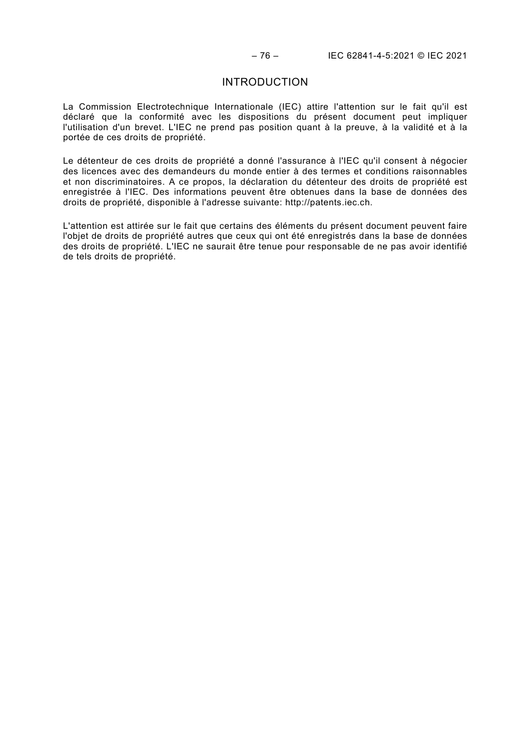# INTRODUCTION

<span id="page-11-0"></span>La Commission Electrotechnique Internationale (IEC) attire l'attention sur le fait qu'il est déclaré que la conformité avec les dispositions du présent document peut impliquer l'utilisation d'un brevet. L'IEC ne prend pas position quant à la preuve, à la validité et à la portée de ces droits de propriété.

Le détenteur de ces droits de propriété a donné l'assurance à l'IEC qu'il consent à négocier des licences avec des demandeurs du monde entier à des termes et conditions raisonnables et non discriminatoires. A ce propos, la déclaration du détenteur des droits de propriété est enregistrée à l'IEC. Des informations peuvent être obtenues dans la base de données des droits de propriété, disponible à l'adresse suivante: http://patents.iec.ch.

L'attention est attirée sur le fait que certains des éléments du présent document peuvent faire l'objet de droits de propriété autres que ceux qui ont été enregistrés dans la base de données des droits de propriété. L'IEC ne saurait être tenue pour responsable de ne pas avoir identifié de tels droits de propriété.